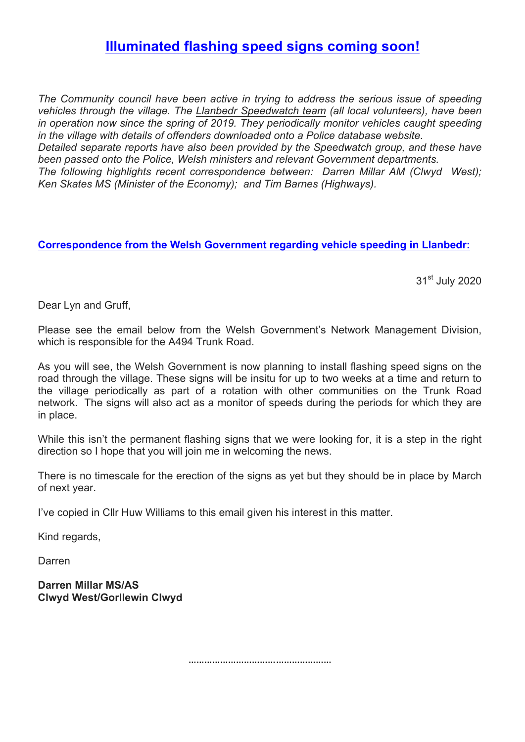## **Illuminated flashing speed signs coming soon!**

*The Community council have been active in trying to address the serious issue of speeding vehicles through the village. The Llanbedr Speedwatch team (all local volunteers), have been in operation now since the spring of 2019. They periodically monitor vehicles caught speeding in the village with details of offenders downloaded onto a Police database website.*

*Detailed separate reports have also been provided by the Speedwatch group, and these have been passed onto the Police, Welsh ministers and relevant Government departments.*

*The following highlights recent correspondence between: Darren Millar AM (Clwyd West); Ken Skates MS (Minister of the Economy); and Tim Barnes (Highways).*

## **Correspondence from the Welsh Government regarding vehicle speeding in Llanbedr:**

31<sup>st</sup> July 2020

Dear Lyn and Gruff,

Please see the email below from the Welsh Government's Network Management Division, which is responsible for the A494 Trunk Road.

As you will see, the Welsh Government is now planning to install flashing speed signs on the road through the village. These signs will be insitu for up to two weeks at a time and return to the village periodically as part of a rotation with other communities on the Trunk Road network. The signs will also act as a monitor of speeds during the periods for which they are in place.

While this isn't the permanent flashing signs that we were looking for, it is a step in the right direction so I hope that you will join me in welcoming the news.

There is no timescale for the erection of the signs as yet but they should be in place by March of next year.

I've copied in Cllr Huw Williams to this email given his interest in this matter.

Kind regards,

Darren

**Darren Millar MS/AS Clwyd West/Gorllewin Clwyd**

………………………………………………